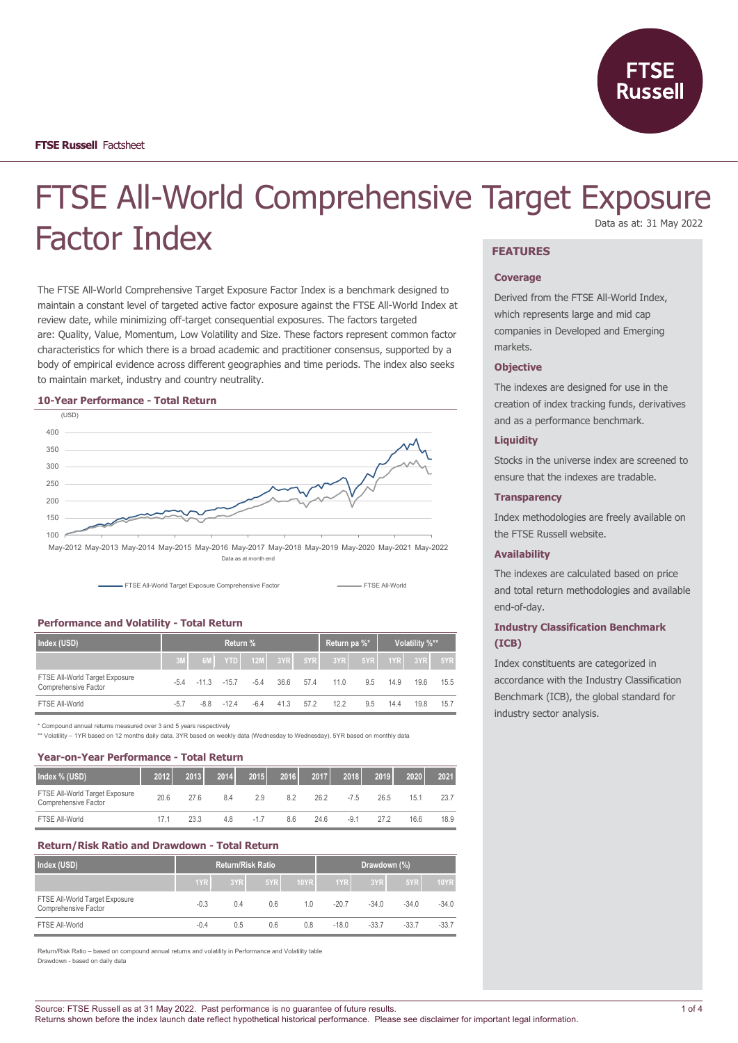

# FTSE All-World Comprehensive Target Exposure Factor Index Data as at: 31 May 2022

## The FTSE All-World Comprehensive Target Exposure Factor Index is a benchmark designed to maintain a constant level of targeted active factor exposure against the FTSE All-World Index at

review date, while minimizing off-target consequential exposures. The factors targeted are: Quality, Value, Momentum, Low Volatility and Size. These factors represent common factor characteristics for which there is a broad academic and practitioner consensus, supported by a body of empirical evidence across different geographies and time periods. The index also seeks to maintain market, industry and country neutrality.

#### **10-Year Performance - Total Return**



Data as at month end



#### **Performance and Volatility - Total Return**

| Index (USD)                                            | <b>Return %</b> |                |               |                    |      |      | Return pa %* |     | Volatility %** |         |      |
|--------------------------------------------------------|-----------------|----------------|---------------|--------------------|------|------|--------------|-----|----------------|---------|------|
|                                                        | 3M              |                |               | 6M YTD 12M 3YR 5YR |      |      | 3YR          | 5YR |                | 1YR 3YR | 5YR  |
| FTSE All-World Target Exposure<br>Comprehensive Factor | $-54$           | $-11.3 - 15.7$ |               | $-5.4$             | 36.6 | 57.4 | 11.0         | 9.5 | 14.9           | 19.6    | 15.5 |
| FTSE All-World                                         | $-5.7$          |                | $-8.8 - 12.4$ | $-6.4$             | 41.3 | 57.2 | 12.2         | 9.5 | 14.4           | 19.8    | 15.7 |

\* Compound annual returns measured over 3 and 5 years respectively

\*\* Volatility – 1YR based on 12 months daily data. 3YR based on weekly data (Wednesday to Wednesday). 5YR based on monthly data

#### **Year-on-Year Performance - Total Return**

| Index % (USD)                                          | 2012 | 2013 | 2014 | 2015  | 2016 | 2017 | 2018   | 2019 | 2020 | 2021 |
|--------------------------------------------------------|------|------|------|-------|------|------|--------|------|------|------|
| FTSE All-World Target Exposure<br>Comprehensive Factor | 20.6 | 276  | 8.4  | 2.9   | 8.2  | 26.2 | $-7.5$ | 26.5 | 15.1 | 23.7 |
| FTSE All-World                                         | 17.1 | 23.3 | 4.8  | $-17$ | 8.6  | 24.6 | $-9.1$ | 272  | 16.6 | 18.9 |

#### **Return/Risk Ratio and Drawdown - Total Return**

| Index (USD)                                            |        | <b>Return/Risk Ratio</b> |     |      |         | Drawdown (%) |         |             |
|--------------------------------------------------------|--------|--------------------------|-----|------|---------|--------------|---------|-------------|
|                                                        | 1YR    | 3YR                      | 5YR | 10YR | 1YR     | 3YR          | 5YR     | <b>10YR</b> |
| FTSE All-World Target Exposure<br>Comprehensive Factor | $-0.3$ | 0.4                      | 0.6 | 1.0  | $-20.7$ | $-34.0$      | $-34.0$ | $-34.0$     |
| FTSE All-World                                         | $-0.4$ | 0.5                      | 0.6 | 0.8  | $-18.0$ | $-33.7$      | $-33.7$ | $-33.7$     |

Return/Risk Ratio – based on compound annual returns and volatility in Performance and Volatility table Drawdown - based on daily data

## **FEATURES**

#### **Coverage**

Derived from the FTSE All-World Index, which represents large and mid cap companies in Developed and Emerging markets.

#### **Objective**

The indexes are designed for use in the creation of index tracking funds, derivatives and as a performance benchmark.

### **Liquidity**

Stocks in the universe index are screened to ensure that the indexes are tradable.

#### **Transparency**

Index methodologies are freely available on the FTSE Russell website.

### **Availability**

The indexes are calculated based on price and total return methodologies and available end-of-day.

## **Industry Classification Benchmark (ICB)**

Index constituents are categorized in accordance with the Industry Classification Benchmark (ICB), the global standard for industry sector analysis.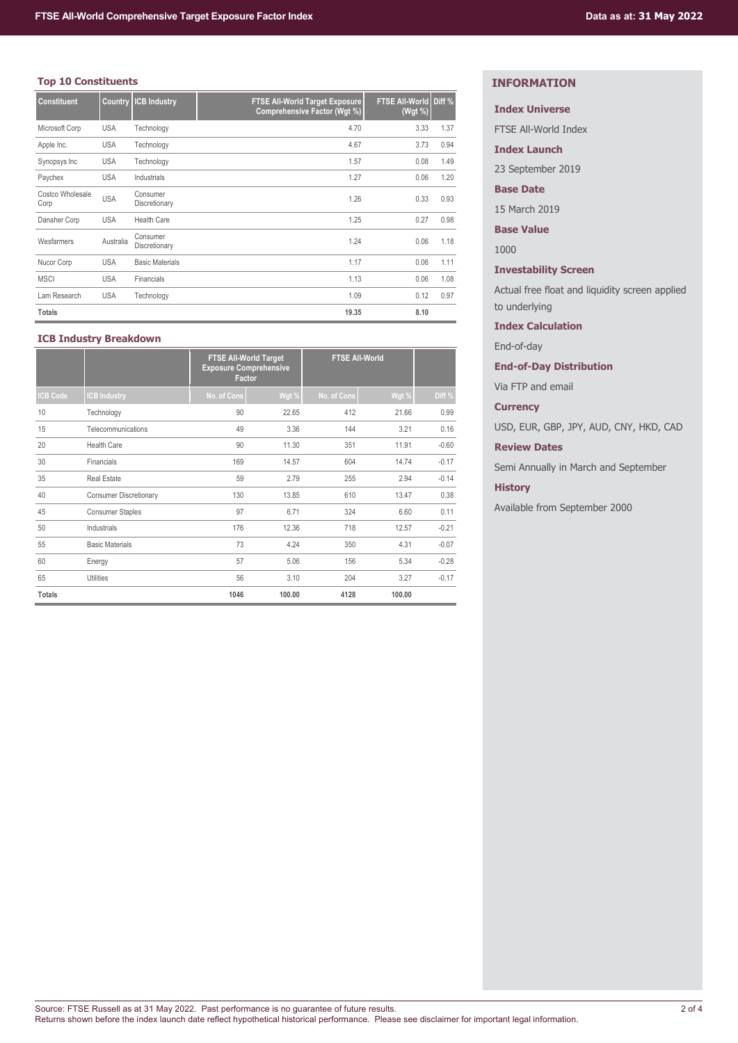## **Top 10 Constituents**

| <b>Constituent</b>       | Country    | <b>ICB Industry</b>       | <b>FTSE All-World Target Exposure</b><br><b>Comprehensive Factor (Wgt %)</b> | <b>FTSE All-World Diff %</b><br>(Wgt %) |      |
|--------------------------|------------|---------------------------|------------------------------------------------------------------------------|-----------------------------------------|------|
| Microsoft Corp           | <b>USA</b> | Technology                | 4.70                                                                         | 3.33                                    | 1.37 |
| Apple Inc.               | <b>USA</b> | Technology                | 4.67                                                                         | 3.73                                    | 0.94 |
| Synopsys Inc             | USA        | Technology                | 1.57                                                                         | 0.08                                    | 1.49 |
| Paychex                  | <b>USA</b> | Industrials               | 1.27                                                                         | 0.06                                    | 1.20 |
| Costco Wholesale<br>Corp | <b>USA</b> | Consumer<br>Discretionary | 1.26                                                                         | 0.33                                    | 0.93 |
| Danaher Corp             | <b>USA</b> | <b>Health Care</b>        | 1.25                                                                         | 0.27                                    | 0.98 |
| Wesfarmers               | Australia  | Consumer<br>Discretionary | 1.24                                                                         | 0.06                                    | 1.18 |
| Nucor Corp               | <b>USA</b> | <b>Basic Materials</b>    | 1.17                                                                         | 0.06                                    | 1.11 |
| <b>MSCI</b>              | <b>USA</b> | Financials                | 1.13                                                                         | 0.06                                    | 1.08 |
| Lam Research             | <b>USA</b> | Technology                | 1.09                                                                         | 0.12                                    | 0.97 |
| <b>Totals</b>            |            |                           | 19.35                                                                        | 8.10                                    |      |

## **ICB Industry Breakdown**

|                 |                               | <b>FTSE All-World Target</b><br><b>Exposure Comprehensive</b><br>Factor |        | <b>FTSE All-World</b> |        |         |
|-----------------|-------------------------------|-------------------------------------------------------------------------|--------|-----------------------|--------|---------|
| <b>ICB Code</b> | <b>CB Industry</b>            | No. of Cons                                                             | Wgt %  | No. of Cons           | Wgt %  | Diff %  |
| 10              | Technology                    | 90                                                                      | 22.65  | 412                   | 21.66  | 0.99    |
| 15              | Telecommunications            | 49                                                                      | 3.36   | 144                   | 3.21   | 0.16    |
| 20              | <b>Health Care</b>            | 90                                                                      | 11.30  | 351                   | 11.91  | $-0.60$ |
| 30              | Financials                    | 169                                                                     | 14.57  | 604                   | 14.74  | $-0.17$ |
| 35              | <b>Real Estate</b>            | 59                                                                      | 2.79   | 255                   | 2.94   | $-0.14$ |
| 40              | <b>Consumer Discretionary</b> | 130                                                                     | 13.85  | 610                   | 13.47  | 0.38    |
| 45              | <b>Consumer Staples</b>       | 97                                                                      | 6.71   | 324                   | 6.60   | 0.11    |
| 50              | Industrials                   | 176                                                                     | 12.36  | 718                   | 12.57  | $-0.21$ |
| 55              | <b>Basic Materials</b>        | 73                                                                      | 4.24   | 350                   | 4.31   | $-0.07$ |
| 60              | Energy                        | 57                                                                      | 5.06   | 156                   | 5.34   | $-0.28$ |
| 65              | Utilities                     | 56                                                                      | 3.10   | 204                   | 3.27   | $-0.17$ |
| <b>Totals</b>   |                               | 1046                                                                    | 100.00 | 4128                  | 100.00 |         |

## **INFORMATION**

## **Index Universe**

FTSE All-World Index

**Index Launch**

23 September 2019

## **Base Date**

15 March 2019

**Base Value**

1000

**Investability Screen**

Actual free float and liquidity screen applied to underlying

**Index Calculation**

End-of-day

## **End-of-Day Distribution**

Via FTP and email

**Currency**

USD, EUR, GBP, JPY, AUD, CNY, HKD, CAD

**Review Dates**

Semi Annually in March and September

## **History**

Available from September 2000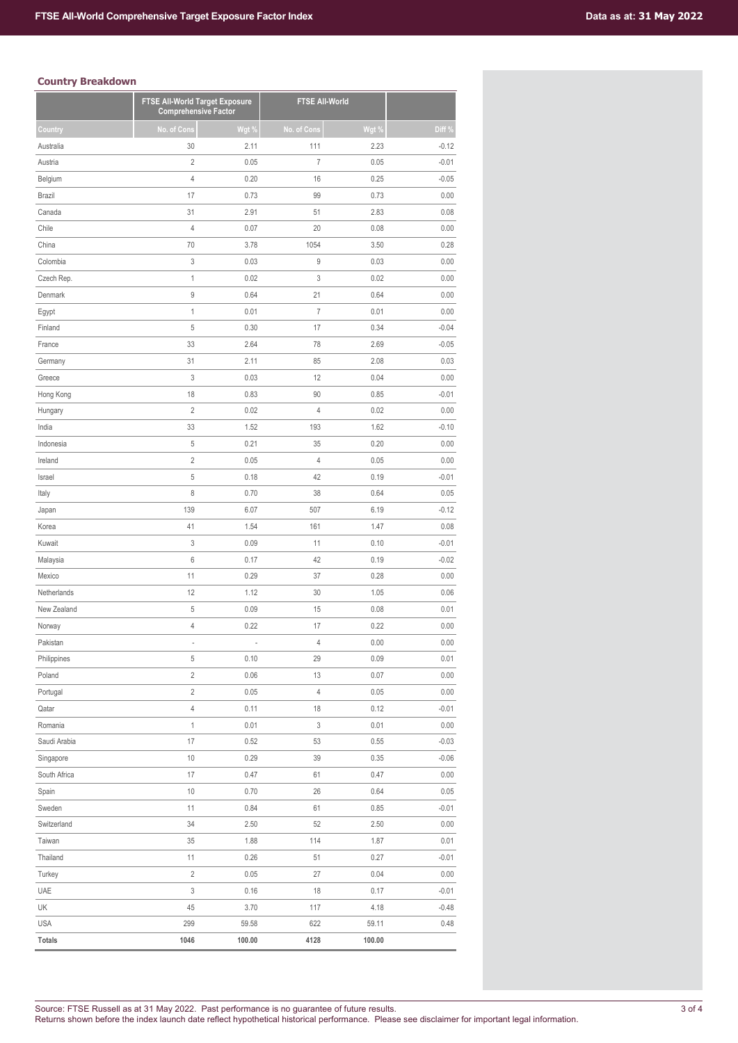## **Country Breakdown**

| Country<br>Australia<br>Austria<br>Belgium<br><b>Brazil</b><br>Canada<br>Chile<br>China<br>Colombia<br>Czech Rep.<br>Denmark | No. of Cons<br>30<br>$\overline{c}$<br>4<br>17<br>31<br>$\sqrt{4}$<br>70 | Wgt %<br>2.11<br>0.05<br>0.20<br>0.73<br>2.91<br>0.07 | No. of Cons<br>111<br>$\overline{7}$<br>16<br>99 | Wgt %<br>2.23<br>0.05<br>0.25 | Diff %<br>$-0.12$<br>$-0.01$ |
|------------------------------------------------------------------------------------------------------------------------------|--------------------------------------------------------------------------|-------------------------------------------------------|--------------------------------------------------|-------------------------------|------------------------------|
|                                                                                                                              |                                                                          |                                                       |                                                  |                               |                              |
|                                                                                                                              |                                                                          |                                                       |                                                  |                               |                              |
|                                                                                                                              |                                                                          |                                                       |                                                  |                               |                              |
|                                                                                                                              |                                                                          |                                                       |                                                  |                               | $-0.05$                      |
|                                                                                                                              |                                                                          |                                                       |                                                  | 0.73                          | 0.00                         |
|                                                                                                                              |                                                                          |                                                       | 51                                               | 2.83                          | 0.08                         |
|                                                                                                                              |                                                                          |                                                       | 20                                               | 0.08                          | 0.00                         |
|                                                                                                                              |                                                                          | 3.78                                                  | 1054                                             | 3.50                          | 0.28                         |
|                                                                                                                              | 3                                                                        | 0.03                                                  | 9                                                | 0.03                          | 0.00                         |
|                                                                                                                              | $\mathbf{1}$                                                             | 0.02                                                  | 3                                                | 0.02                          | 0.00                         |
|                                                                                                                              | 9                                                                        | 0.64                                                  | 21                                               | 0.64                          | 0.00                         |
| Egypt                                                                                                                        | $\mathbf{1}$                                                             | 0.01                                                  | $\overline{I}$                                   | 0.01                          | 0.00                         |
| Finland                                                                                                                      | 5                                                                        | 0.30                                                  | 17                                               | 0.34                          | $-0.04$                      |
| France                                                                                                                       | 33                                                                       | 2.64                                                  | 78                                               | 2.69                          | $-0.05$                      |
| Germany                                                                                                                      | 31                                                                       | 2.11                                                  | 85                                               | 2.08                          | 0.03                         |
| Greece                                                                                                                       | 3                                                                        | 0.03                                                  | 12                                               | 0.04                          | 0.00                         |
| Hong Kong                                                                                                                    | 18                                                                       | 0.83                                                  | 90                                               | 0.85                          | $-0.01$                      |
| Hungary                                                                                                                      | $\sqrt{2}$                                                               | 0.02                                                  | 4                                                | 0.02                          | 0.00                         |
| India                                                                                                                        | 33                                                                       | 1.52                                                  | 193                                              | 1.62                          | $-0.10$                      |
| Indonesia                                                                                                                    | $\sqrt{5}$                                                               | 0.21                                                  | 35                                               | 0.20                          | 0.00                         |
| Ireland                                                                                                                      | $\sqrt{2}$                                                               | 0.05                                                  | 4                                                | 0.05                          | 0.00                         |
| Israel                                                                                                                       | 5                                                                        | 0.18                                                  | 42                                               | 0.19                          | $-0.01$                      |
| Italy                                                                                                                        | 8                                                                        | 0.70                                                  | 38                                               | 0.64                          | 0.05                         |
| Japan                                                                                                                        | 139                                                                      | 6.07                                                  | 507                                              | 6.19                          | $-0.12$                      |
| Korea                                                                                                                        | 41                                                                       | 1.54                                                  | 161                                              | 1.47                          | 0.08                         |
| Kuwait                                                                                                                       | 3                                                                        | 0.09                                                  | 11                                               | 0.10                          | $-0.01$                      |
| Malaysia                                                                                                                     | 6                                                                        | 0.17                                                  | 42                                               | 0.19                          | $-0.02$                      |
| Mexico                                                                                                                       | 11                                                                       | 0.29                                                  | 37                                               | 0.28                          | 0.00                         |
| Netherlands                                                                                                                  | 12                                                                       | 1.12                                                  | 30                                               | 1.05                          | 0.06                         |
| New Zealand                                                                                                                  | 5                                                                        | 0.09                                                  | 15                                               | 0.08                          | 0.01                         |
| Norway                                                                                                                       | 4                                                                        | 0.22                                                  | 17                                               | 0.22                          | 0.00                         |
| Pakistan                                                                                                                     |                                                                          |                                                       | $\overline{4}$                                   | 0.00                          | 0.00                         |
| Philippines                                                                                                                  | 5                                                                        | 0.10                                                  | 29                                               | 0.09                          | 0.01                         |
| Poland                                                                                                                       | $\overline{c}$                                                           | 0.06                                                  | 13                                               | 0.07                          | 0.00                         |
| Portugal                                                                                                                     | $\sqrt{2}$                                                               | 0.05                                                  | 4                                                | 0.05                          | 0.00                         |
| Qatar                                                                                                                        | $\sqrt{4}$                                                               | 0.11                                                  | 18                                               | 0.12                          | $-0.01$                      |
| Romania                                                                                                                      | 1                                                                        | 0.01                                                  | 3                                                | 0.01                          | 0.00                         |
| Saudi Arabia                                                                                                                 | 17                                                                       | 0.52                                                  | 53                                               | 0.55                          | $-0.03$                      |
| Singapore                                                                                                                    | 10                                                                       | 0.29                                                  | 39                                               | 0.35                          | $-0.06$                      |
| South Africa                                                                                                                 | 17                                                                       | 0.47                                                  | 61                                               | 0.47                          | 0.00                         |
| Spain                                                                                                                        | 10                                                                       | 0.70                                                  | 26                                               | 0.64                          | 0.05                         |
| Sweden                                                                                                                       | 11                                                                       | 0.84                                                  | 61                                               | 0.85                          | $-0.01$                      |
| Switzerland                                                                                                                  | 34                                                                       | 2.50                                                  | 52                                               | 2.50                          | 0.00                         |
| Taiwan                                                                                                                       | 35                                                                       | 1.88                                                  | 114                                              | 1.87                          | 0.01                         |
| Thailand                                                                                                                     | 11                                                                       | 0.26                                                  | 51                                               | 0.27                          | $-0.01$                      |
| Turkey                                                                                                                       | $\sqrt{2}$                                                               | 0.05                                                  | 27                                               | 0.04                          | 0.00                         |
| UAE                                                                                                                          | 3                                                                        | 0.16                                                  | 18                                               | 0.17                          | $-0.01$                      |
| UK                                                                                                                           | 45                                                                       | 3.70                                                  | 117                                              | 4.18                          | $-0.48$                      |
| <b>USA</b>                                                                                                                   | 299                                                                      | 59.58                                                 | 622                                              | 59.11                         | 0.48                         |
| <b>Totals</b>                                                                                                                | 1046                                                                     | 100.00                                                | 4128                                             | 100.00                        |                              |